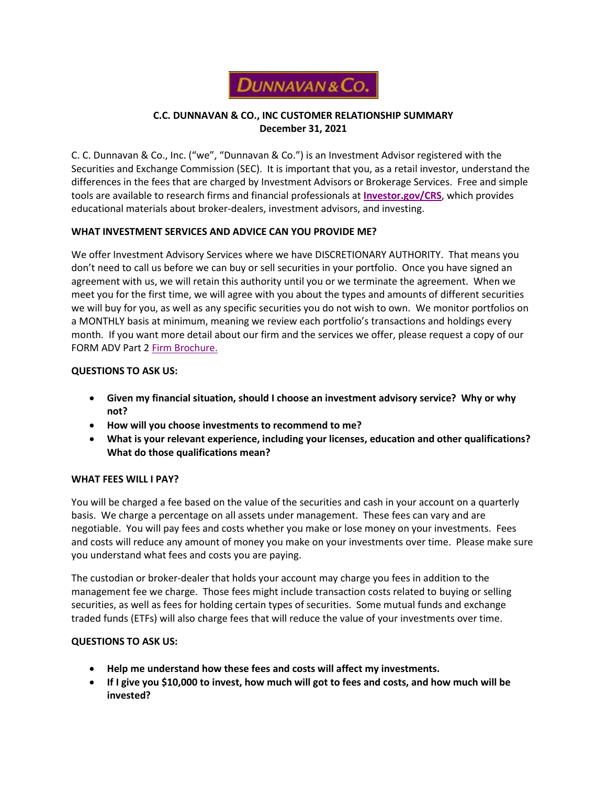

# **C.C. DUNNAVAN & CO., INC CUSTOMER RELATIONSHIP SUMMARY December 31, 2021**

C. C. Dunnavan & Co., Inc. ("we", "Dunnavan & Co.") is an Investment Advisor registered with the Securities and Exchange Commission (SEC). It is important that you, as a retail investor, understand the differences in the fees that are charged by Investment Advisors or Brokerage Services. Free and simple tools are available to research firms and financial professionals at **[Investor.gov/CRS](http://investor.gov/crs)**, which provides educational materials about broker-dealers, investment advisors, and investing.

### **WHAT INVESTMENT SERVICES AND ADVICE CAN YOU PROVIDE ME?**

We offer Investment Advisory Services where we have DISCRETIONARY AUTHORITY. That means you don't need to call us before we can buy or sell securities in your portfolio. Once you have signed an agreement with us, we will retain this authority until you or we terminate the agreement. When we meet you for the first time, we will agree with you about the types and amounts of different securities we will buy for you, as well as any specific securities you do not wish to own. We monitor portfolios on a MONTHLY basis at minimum, meaning we review each portfolio's transactions and holdings every month. If you want more detail about our firm and the services we offer, please request a copy of our FORM ADV Part 2 [Firm Brochure.](https://files.adviserinfo.sec.gov/IAPD/Content/Common/crd_iapd_Brochure.aspx?BRCHR_VRSN_ID=756860)

## **QUESTIONS TO ASK US:**

- **Given my financial situation, should I choose an investment advisory service? Why or why not?**
- **How will you choose investments to recommend to me?**
- **What is your relevant experience, including your licenses, education and other qualifications? What do those qualifications mean?**

### **WHAT FEES WILL I PAY?**

You will be charged a fee based on the value of the securities and cash in your account on a quarterly basis. We charge a percentage on all assets under management. These fees can vary and are negotiable. You will pay fees and costs whether you make or lose money on your investments. Fees and costs will reduce any amount of money you make on your investments over time. Please make sure you understand what fees and costs you are paying.

The custodian or broker-dealer that holds your account may charge you fees in addition to the management fee we charge. Those fees might include transaction costs related to buying or selling securities, as well as fees for holding certain types of securities. Some mutual funds and exchange traded funds (ETFs) will also charge fees that will reduce the value of your investments over time.

# **QUESTIONS TO ASK US:**

- **Help me understand how these fees and costs will affect my investments.**
- **If I give you \$10,000 to invest, how much will got to fees and costs, and how much will be invested?**